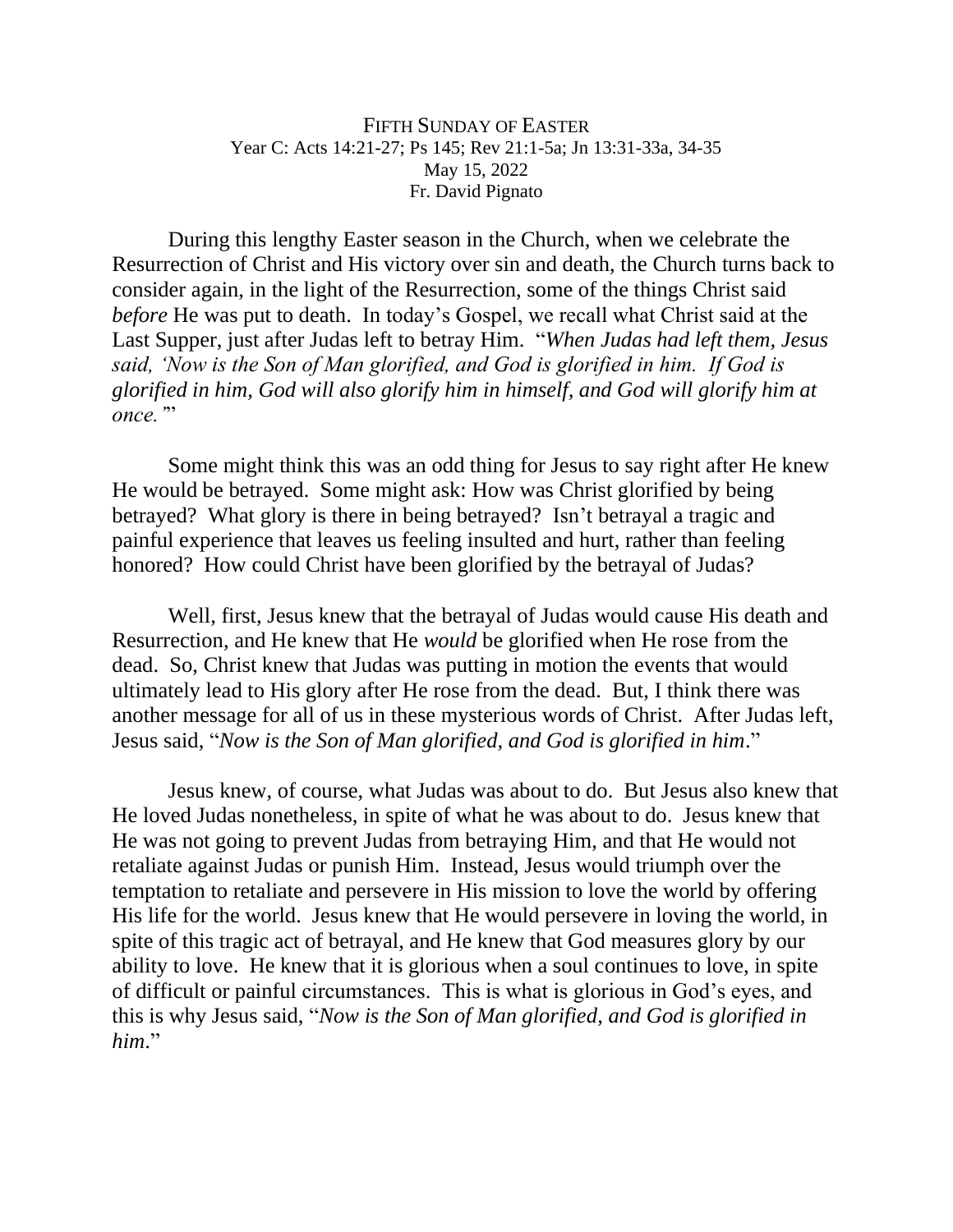## FIFTH SUNDAY OF EASTER Year C: Acts 14:21-27; Ps 145; Rev 21:1-5a; Jn 13:31-33a, 34-35 May 15, 2022 Fr. David Pignato

During this lengthy Easter season in the Church, when we celebrate the Resurrection of Christ and His victory over sin and death, the Church turns back to consider again, in the light of the Resurrection, some of the things Christ said *before* He was put to death. In today's Gospel, we recall what Christ said at the Last Supper, just after Judas left to betray Him. "*When Judas had left them, Jesus said, 'Now is the Son of Man glorified, and God is glorified in him. If God is glorified in him, God will also glorify him in himself, and God will glorify him at once.'*"

Some might think this was an odd thing for Jesus to say right after He knew He would be betrayed. Some might ask: How was Christ glorified by being betrayed? What glory is there in being betrayed? Isn't betrayal a tragic and painful experience that leaves us feeling insulted and hurt, rather than feeling honored? How could Christ have been glorified by the betrayal of Judas?

Well, first, Jesus knew that the betrayal of Judas would cause His death and Resurrection, and He knew that He *would* be glorified when He rose from the dead. So, Christ knew that Judas was putting in motion the events that would ultimately lead to His glory after He rose from the dead. But, I think there was another message for all of us in these mysterious words of Christ. After Judas left, Jesus said, "*Now is the Son of Man glorified, and God is glorified in him*."

Jesus knew, of course, what Judas was about to do. But Jesus also knew that He loved Judas nonetheless, in spite of what he was about to do. Jesus knew that He was not going to prevent Judas from betraying Him, and that He would not retaliate against Judas or punish Him. Instead, Jesus would triumph over the temptation to retaliate and persevere in His mission to love the world by offering His life for the world. Jesus knew that He would persevere in loving the world, in spite of this tragic act of betrayal, and He knew that God measures glory by our ability to love. He knew that it is glorious when a soul continues to love, in spite of difficult or painful circumstances. This is what is glorious in God's eyes, and this is why Jesus said, "*Now is the Son of Man glorified, and God is glorified in him*."